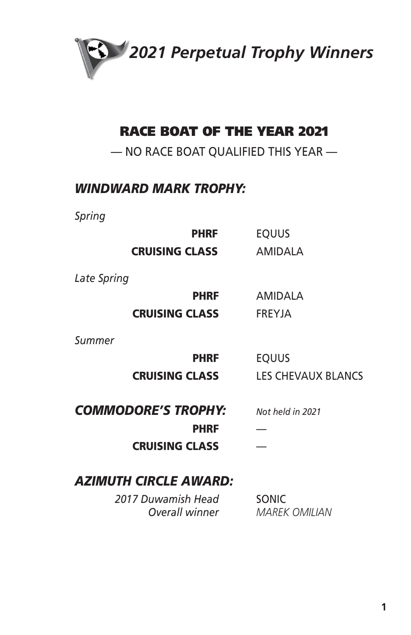

# RACE BOAT OF THE YEAR 2021

— NO RACE BOAT QUALIFIED THIS YEAR —

## *WINDWARD MARK TROPHY:*

*Spring*

| <b>PHRF</b>           | <b>EQUUS</b> |
|-----------------------|--------------|
| <b>CRUISING CLASS</b> | AMIDALA      |

*Late Spring*

| <b>PHRF</b>           | AMIDALA       |
|-----------------------|---------------|
| <b>CRUISING CLASS</b> | <b>FREYJA</b> |

*Summer*

PHRF EQUUS CRUISING CLASS LES CHEVAUX BLANCS

*COMMODORE'S TROPHY: Not held in 2021*

PHRF —

CRUISING CLASS —

# *AZIMUTH CIRCLE AWARD:*

*2017 Duwamish Head* SONIC *Overall winner MAREK OMILIAN*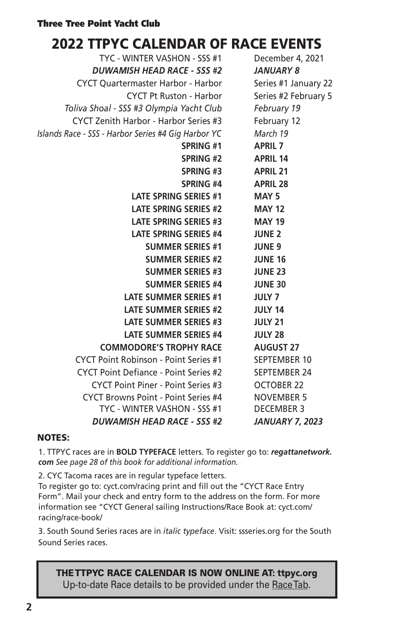# 2022 TTPYC CALENDAR OF RACE EVENTS

| TYC - WINTER VASHON - SSS #1                        | December 4, 2021       |
|-----------------------------------------------------|------------------------|
| <b>DUWAMISH HEAD RACE - SSS #2</b>                  | <b>JANUARY 8</b>       |
| <b>CYCT Quartermaster Harbor - Harbor</b>           | Series #1 January 22   |
| <b>CYCT Pt Ruston - Harbor</b>                      | Series #2 February 5   |
| Toliva Shoal - SSS #3 Olympia Yacht Club            | February 19            |
| CYCT Zenith Harbor - Harbor Series #3               | February 12            |
| Islands Race - SSS - Harbor Series #4 Gig Harbor YC | March 19               |
| SPRING #1                                           | <b>APRIL 7</b>         |
| SPRING #2                                           | <b>APRIL 14</b>        |
| SPRING #3                                           | <b>APRIL 21</b>        |
| SPRING #4                                           | APRIL 28               |
| <b>LATE SPRING SERIES #1</b>                        | MAY <sub>5</sub>       |
| <b>LATE SPRING SERIES #2</b>                        | <b>MAY 12</b>          |
| <b>LATE SPRING SERIES #3</b>                        | <b>MAY 19</b>          |
| <b>LATE SPRING SERIES #4</b>                        | <b>JUNE 2</b>          |
| <b>SUMMER SERIES #1</b>                             | <b>JUNE 9</b>          |
| <b>SUMMER SERIES #2</b>                             | <b>JUNE 16</b>         |
| <b>SUMMER SERIES #3</b>                             | <b>JUNE 23</b>         |
| <b>SUMMER SERIES #4</b>                             | <b>JUNE 30</b>         |
| <b>LATE SUMMER SERIES #1</b>                        | <b>JULY 7</b>          |
| <b>LATE SUMMER SERIES #2</b>                        | <b>JULY 14</b>         |
| <b>LATE SUMMER SERIES #3</b>                        | <b>JULY 21</b>         |
| <b>LATE SUMMER SERIES #4</b>                        | <b>JULY 28</b>         |
| <b>COMMODORE'S TROPHY RACE</b>                      | <b>AUGUST 27</b>       |
| <b>CYCT Point Robinson - Point Series #1</b>        | SEPTEMBER 10           |
| <b>CYCT Point Defiance - Point Series #2</b>        | <b>SEPTEMBER 24</b>    |
| <b>CYCT Point Piner - Point Series #3</b>           | OCTOBER 22             |
| CYCT Browns Point - Point Series #4                 | <b>NOVEMBER 5</b>      |
| TYC - WINTER VASHON - SSS #1                        | <b>DECEMBER 3</b>      |
| <b>DUWAMISH HEAD RACE - SSS #2</b>                  | <b>JANUARY 7, 2023</b> |

#### NOTES:

1. TTPYC races are in **BOLD TYPEFACE** letters. To register go to: *regattanetwork. com See page 28 of this book for additional information.*

2. CYC Tacoma races are in regular typeface letters.

To register go to: cyct.com/racing print and fill out the "CYCT Race Entry Form". Mail your check and entry form to the address on the form. For more information see "CYCT General sailing Instructions/Race Book at: cyct.com/ racing/race-book/

3. South Sound Series races are in *italic typeface*. Visit: ssseries.org for the South Sound Series races.

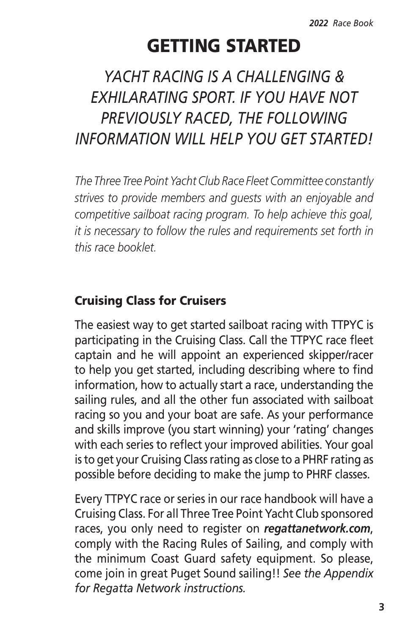# GETTING STARTED

# *YACHT RACING IS A CHALLENGING & EXHILARATING SPORT. IF YOU HAVE NOT PREVIOUSLY RACED, THE FOLLOWING INFORMATION WILL HELP YOU GET STARTED!*

*The Three Tree Point Yacht Club Race Fleet Committee constantly strives to provide members and guests with an enjoyable and competitive sailboat racing program. To help achieve this goal, it is necessary to follow the rules and requirements set forth in this race booklet.*

## Cruising Class for Cruisers

The easiest way to get started sailboat racing with TTPYC is participating in the Cruising Class. Call the TTPYC race fleet captain and he will appoint an experienced skipper/racer to help you get started, including describing where to find information, how to actually start a race, understanding the sailing rules, and all the other fun associated with sailboat racing so you and your boat are safe. As your performance and skills improve (you start winning) your 'rating' changes with each series to reflect your improved abilities. Your goal is to get your Cruising Class rating as close to a PHRF rating as possible before deciding to make the jump to PHRF classes.

Every TTPYC race or series in our race handbook will have a Cruising Class. For all Three Tree Point Yacht Club sponsored races, you only need to register on *regattanetwork.com*, comply with the Racing Rules of Sailing, and comply with the minimum Coast Guard safety equipment. So please, come join in great Puget Sound sailing!! *See the Appendix for Regatta Network instructions.*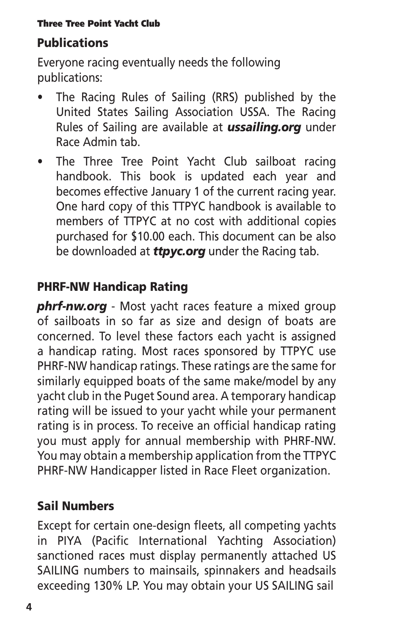# **Publications**

Everyone racing eventually needs the following publications:

- The Racing Rules of Sailing (RRS) published by the United States Sailing Association USSA. The Racing Rules of Sailing are available at *ussailing.org* under Race Admin tab.
- The Three Tree Point Yacht Club sailboat racing handbook. This book is updated each year and becomes effective January 1 of the current racing year. One hard copy of this TTPYC handbook is available to members of TTPYC at no cost with additional copies purchased for \$10.00 each. This document can be also be downloaded at *ttpyc.org* under the Racing tab.

# PHRF-NW Handicap Rating

*phrf-nw.org* - Most yacht races feature a mixed group of sailboats in so far as size and design of boats are concerned. To level these factors each yacht is assigned a handicap rating. Most races sponsored by TTPYC use PHRF-NW handicap ratings. These ratings are the same for similarly equipped boats of the same make/model by any yacht club in the Puget Sound area. A temporary handicap rating will be issued to your yacht while your permanent rating is in process. To receive an official handicap rating you must apply for annual membership with PHRF-NW. You may obtain a membership application from the TTPYC PHRF-NW Handicapper listed in Race Fleet organization.

# Sail Numbers

Except for certain one-design fleets, all competing yachts in PIYA (Pacific International Yachting Association) sanctioned races must display permanently attached US SAILING numbers to mainsails, spinnakers and headsails exceeding 130% LP. You may obtain your US SAILING sail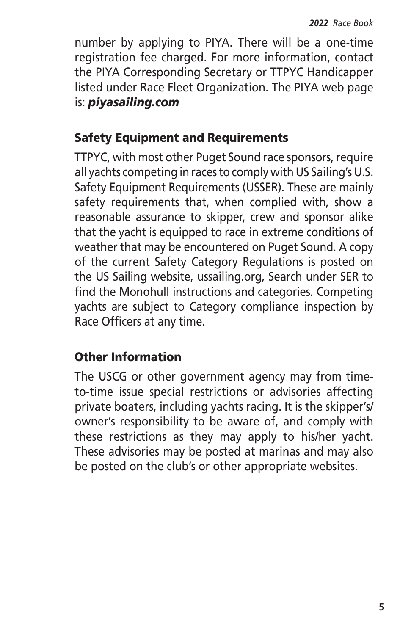number by applying to PIYA. There will be a one-time registration fee charged. For more information, contact the PIYA Corresponding Secretary or TTPYC Handicapper listed under Race Fleet Organization. The PIYA web page is: *piyasailing.com*

## Safety Equipment and Requirements

TTPYC, with most other Puget Sound race sponsors, require all yachts competing in races to comply with US Sailing's U.S. Safety Equipment Requirements (USSER). These are mainly safety requirements that, when complied with, show a reasonable assurance to skipper, crew and sponsor alike that the yacht is equipped to race in extreme conditions of weather that may be encountered on Puget Sound. A copy of the current Safety Category Regulations is posted on the US Sailing website, ussailing.org, Search under SER to find the Monohull instructions and categories. Competing yachts are subject to Category compliance inspection by Race Officers at any time.

## Other Information

The USCG or other government agency may from timeto-time issue special restrictions or advisories affecting private boaters, including yachts racing. It is the skipper's/ owner's responsibility to be aware of, and comply with these restrictions as they may apply to his/her yacht. These advisories may be posted at marinas and may also be posted on the club's or other appropriate websites.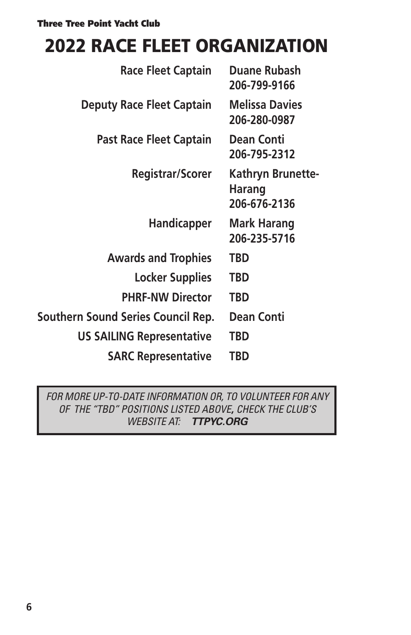# 2022 RACE FLEET ORGANIZATION

| <b>Race Fleet Captain</b>          | Duane Rubash<br>206-799-9166                       |
|------------------------------------|----------------------------------------------------|
| <b>Deputy Race Fleet Captain</b>   | <b>Melissa Davies</b><br>206-280-0987              |
| <b>Past Race Fleet Captain</b>     | Dean Conti<br>206-795-2312                         |
| <b>Registrar/Scorer</b>            | Kathryn Brunette-<br><b>Harang</b><br>206-676-2136 |
| <b>Handicapper</b>                 | <b>Mark Harang</b><br>206-235-5716                 |
| <b>Awards and Trophies</b>         | TBD                                                |
| Locker Supplies                    | <b>TBD</b>                                         |
| <b>PHRF-NW Director</b>            | <b>TBD</b>                                         |
| Southern Sound Series Council Rep. | <b>Dean Conti</b>                                  |
| <b>US SAILING Representative</b>   | TBD                                                |
| <b>SARC Representative</b>         | TBD                                                |

*FOR MORE UP-TO-DATE INFORMATION OR, TO VOLUNTEER FOR ANY OF THE "TBD" POSITIONS LISTED ABOVE***,** *CHECK THE CLUB'S WEBSITE AT:**TTPYC.ORG*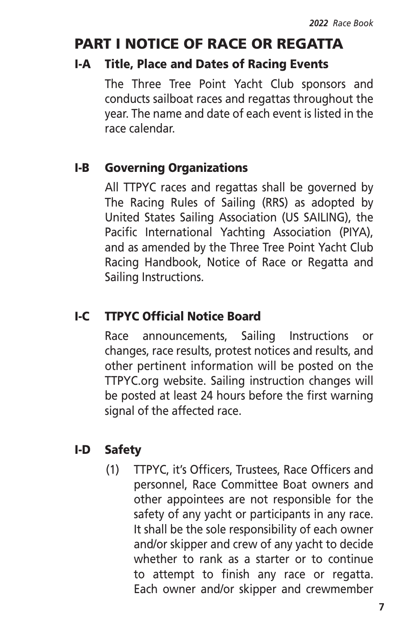# PART I NOTICE OF RACE OR REGATTA

## I-A Title, Place and Dates of Racing Events

The Three Tree Point Yacht Club sponsors and conducts sailboat races and regattas throughout the year. The name and date of each event is listed in the race calendar.

# I-B Governing Organizations

All TTPYC races and regattas shall be governed by The Racing Rules of Sailing (RRS) as adopted by United States Sailing Association (US SAILING), the Pacific International Yachting Association (PIYA), and as amended by the Three Tree Point Yacht Club Racing Handbook, Notice of Race or Regatta and Sailing Instructions.

# I-C TTPYC Official Notice Board

Race announcements, Sailing Instructions or changes, race results, protest notices and results, and other pertinent information will be posted on the TTPYC.org website. Sailing instruction changes will be posted at least 24 hours before the first warning signal of the affected race.

# I-D Safety

(1) TTPYC, it's Officers, Trustees, Race Officers and personnel, Race Committee Boat owners and other appointees are not responsible for the safety of any yacht or participants in any race. It shall be the sole responsibility of each owner and/or skipper and crew of any yacht to decide whether to rank as a starter or to continue to attempt to finish any race or regatta. Each owner and/or skipper and crewmember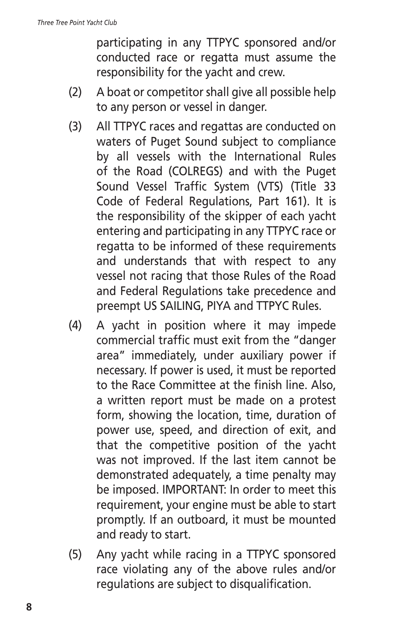participating in any TTPYC sponsored and/or conducted race or regatta must assume the responsibility for the yacht and crew.

- (2) A boat or competitor shall give all possible help to any person or vessel in danger.
- (3) All TTPYC races and regattas are conducted on waters of Puget Sound subject to compliance by all vessels with the International Rules of the Road (COLREGS) and with the Puget Sound Vessel Traffic System (VTS) (Title 33 Code of Federal Regulations, Part 161). It is the responsibility of the skipper of each yacht entering and participating in any TTPYC race or regatta to be informed of these requirements and understands that with respect to any vessel not racing that those Rules of the Road and Federal Regulations take precedence and preempt US SAILING, PIYA and TTPYC Rules.
- (4) A yacht in position where it may impede commercial traffic must exit from the "danger area" immediately, under auxiliary power if necessary. If power is used, it must be reported to the Race Committee at the finish line. Also, a written report must be made on a protest form, showing the location, time, duration of power use, speed, and direction of exit, and that the competitive position of the yacht was not improved. If the last item cannot be demonstrated adequately, a time penalty may be imposed. IMPORTANT: In order to meet this requirement, your engine must be able to start promptly. If an outboard, it must be mounted and ready to start.
- (5) Any yacht while racing in a TTPYC sponsored race violating any of the above rules and/or regulations are subject to disqualification.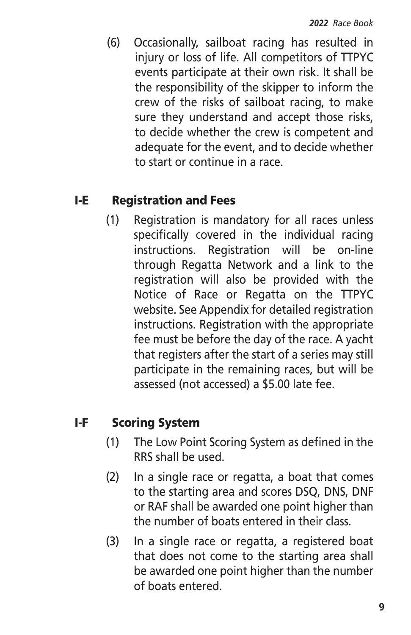(6) Occasionally, sailboat racing has resulted in injury or loss of life. All competitors of TTPYC events participate at their own risk. It shall be the responsibility of the skipper to inform the crew of the risks of sailboat racing, to make sure they understand and accept those risks, to decide whether the crew is competent and adequate for the event, and to decide whether to start or continue in a race.

## I-E Registration and Fees

(1) Registration is mandatory for all races unless specifically covered in the individual racing instructions. Registration will be on-line through Regatta Network and a link to the registration will also be provided with the Notice of Race or Regatta on the TTPYC website. See Appendix for detailed registration instructions. Registration with the appropriate fee must be before the day of the race. A yacht that registers after the start of a series may still participate in the remaining races, but will be assessed (not accessed) a \$5.00 late fee.

# I-F Scoring System

- (1) The Low Point Scoring System as defined in the RRS shall be used.
- (2) In a single race or regatta, a boat that comes to the starting area and scores DSQ, DNS, DNF or RAF shall be awarded one point higher than the number of boats entered in their class.
- (3) In a single race or regatta, a registered boat that does not come to the starting area shall be awarded one point higher than the number of boats entered.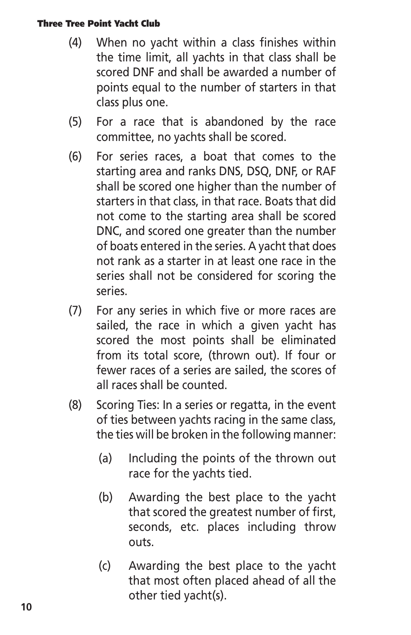#### Three Tree Point Yacht Club

- (4) When no yacht within a class finishes within the time limit, all yachts in that class shall be scored DNF and shall be awarded a number of points equal to the number of starters in that class plus one.
- (5) For a race that is abandoned by the race committee, no yachts shall be scored.
- (6) For series races, a boat that comes to the starting area and ranks DNS, DSQ, DNF, or RAF shall be scored one higher than the number of starters in that class, in that race. Boats that did not come to the starting area shall be scored DNC, and scored one greater than the number of boats entered in the series. A yacht that does not rank as a starter in at least one race in the series shall not be considered for scoring the series.
- (7) For any series in which five or more races are sailed, the race in which a given yacht has scored the most points shall be eliminated from its total score, (thrown out). If four or fewer races of a series are sailed, the scores of all races shall be counted.
- (8) Scoring Ties: In a series or regatta, in the event of ties between yachts racing in the same class, the ties will be broken in the following manner:
	- (a) Including the points of the thrown out race for the yachts tied.
	- (b) Awarding the best place to the yacht that scored the greatest number of first, seconds, etc. places including throw outs.
	- (c) Awarding the best place to the yacht that most often placed ahead of all the other tied yacht(s).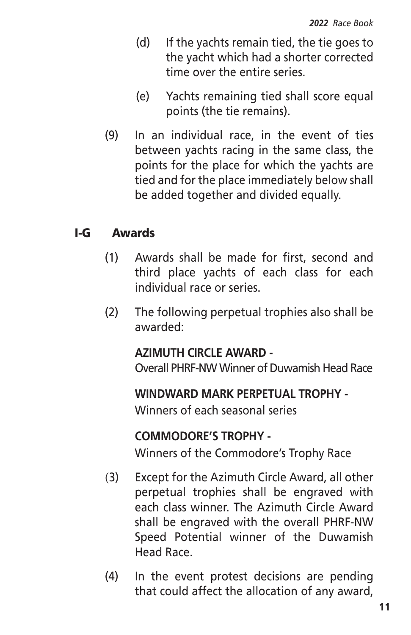- (d) If the yachts remain tied, the tie goes to the yacht which had a shorter corrected time over the entire series.
- (e) Yachts remaining tied shall score equal points (the tie remains).
- (9) In an individual race, in the event of ties between yachts racing in the same class, the points for the place for which the yachts are tied and for the place immediately below shall be added together and divided equally.

## I-G Awards

- (1) Awards shall be made for first, second and third place yachts of each class for each individual race or series.
- (2) The following perpetual trophies also shall be awarded:

### **AZIMUTH CIRCLE AWARD -**

Overall PHRF-NW Winner of Duwamish Head Race

### **WINDWARD MARK PERPETUAL TROPHY -**

Winners of each seasonal series

## **COMMODORE'S TROPHY -**

Winners of the Commodore's Trophy Race

- (3) Except for the Azimuth Circle Award, all other perpetual trophies shall be engraved with each class winner. The Azimuth Circle Award shall be engraved with the overall PHRF-NW Speed Potential winner of the Duwamish Head Race.
- (4) In the event protest decisions are pending that could affect the allocation of any award,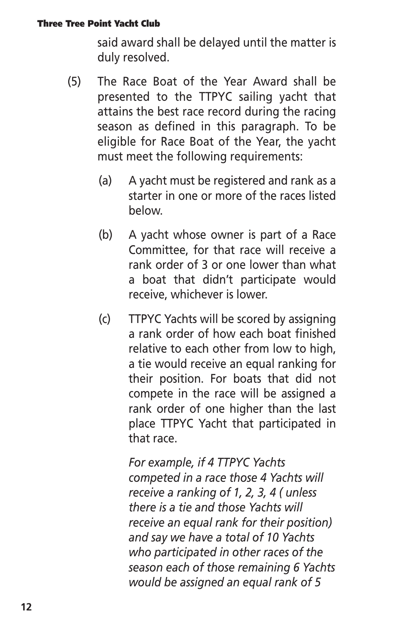said award shall be delayed until the matter is duly resolved.

- (5) The Race Boat of the Year Award shall be presented to the TTPYC sailing yacht that attains the best race record during the racing season as defined in this paragraph. To be eligible for Race Boat of the Year, the yacht must meet the following requirements:
	- (a) A yacht must be registered and rank as a starter in one or more of the races listed below.
	- (b) A yacht whose owner is part of a Race Committee, for that race will receive a rank order of 3 or one lower than what a boat that didn't participate would receive, whichever is lower.
	- (c) TTPYC Yachts will be scored by assigning a rank order of how each boat finished relative to each other from low to high, a tie would receive an equal ranking for their position. For boats that did not compete in the race will be assigned a rank order of one higher than the last place TTPYC Yacht that participated in that race.

*For example, if 4 TTPYC Yachts competed in a race those 4 Yachts will receive a ranking of 1, 2, 3, 4 ( unless there is a tie and those Yachts will receive an equal rank for their position) and say we have a total of 10 Yachts who participated in other races of the season each of those remaining 6 Yachts would be assigned an equal rank of 5*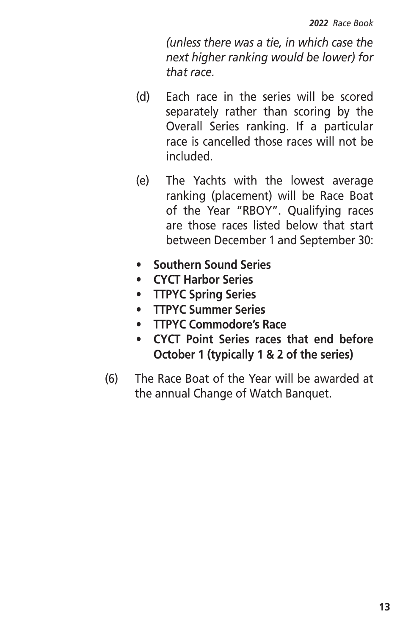*(unless there was a tie, in which case the next higher ranking would be lower) for that race.*

- (d) Each race in the series will be scored separately rather than scoring by the Overall Series ranking. If a particular race is cancelled those races will not be included.
- (e) The Yachts with the lowest average ranking (placement) will be Race Boat of the Year "RBOY". Qualifying races are those races listed below that start between December 1 and September 30:
- **Southern Sound Series**
- **CYCT Harbor Series**
- **TTPYC Spring Series**
- **• TTPYC Summer Series**
- **• TTPYC Commodore's Race**
- **CYCT Point Series races that end before October 1 (typically 1 & 2 of the series)**
- (6) The Race Boat of the Year will be awarded at the annual Change of Watch Banquet.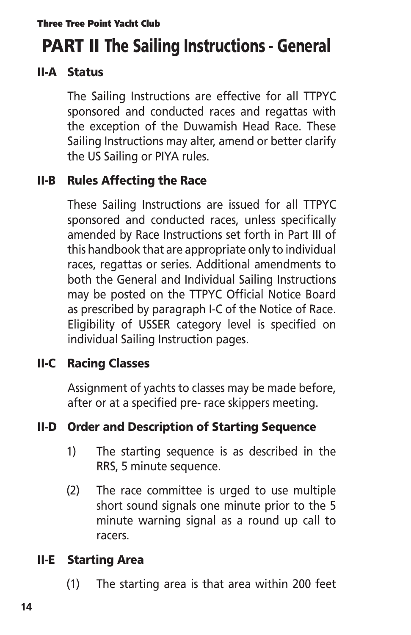# PART II The Sailing Instructions - General

# II-A Status

The Sailing Instructions are effective for all TTPYC sponsored and conducted races and regattas with the exception of the Duwamish Head Race. These Sailing Instructions may alter, amend or better clarify the US Sailing or PIYA rules.

# II-B Rules Affecting the Race

These Sailing Instructions are issued for all TTPYC sponsored and conducted races, unless specifically amended by Race Instructions set forth in Part III of this handbook that are appropriate only to individual races, regattas or series. Additional amendments to both the General and Individual Sailing Instructions may be posted on the TTPYC Official Notice Board as prescribed by paragraph I-C of the Notice of Race. Eligibility of USSER category level is specified on individual Sailing Instruction pages.

# II-C Racing Classes

Assignment of yachts to classes may be made before, after or at a specified pre- race skippers meeting.

# II-D Order and Description of Starting Sequence

- 1) The starting sequence is as described in the RRS, 5 minute sequence.
- (2) The race committee is urged to use multiple short sound signals one minute prior to the 5 minute warning signal as a round up call to racers.

# II-E Starting Area

(1) The starting area is that area within 200 feet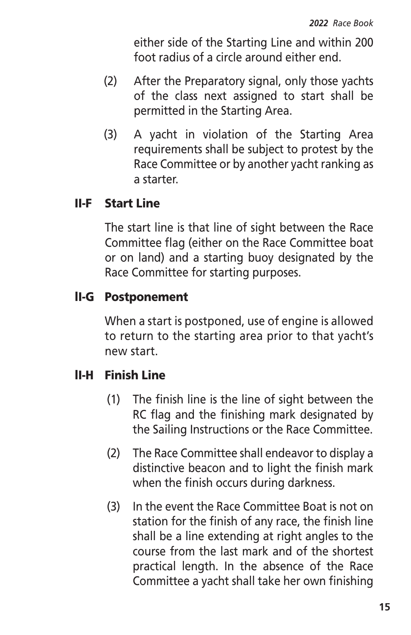either side of the Starting Line and within 200 foot radius of a circle around either end.

- (2) After the Preparatory signal, only those yachts of the class next assigned to start shall be permitted in the Starting Area.
- (3) A yacht in violation of the Starting Area requirements shall be subject to protest by the Race Committee or by another yacht ranking as a starter.

### II-F Start Line

The start line is that line of sight between the Race Committee flag (either on the Race Committee boat or on land) and a starting buoy designated by the Race Committee for starting purposes.

### lI-G Postponement

When a start is postponed, use of engine is allowed to return to the starting area prior to that yacht's new start.

## lI-H Finish Line

- (1) The finish line is the line of sight between the RC flag and the finishing mark designated by the Sailing Instructions or the Race Committee.
- (2) The Race Committee shall endeavor to display a distinctive beacon and to light the finish mark when the finish occurs during darkness.
- (3) In the event the Race Committee Boat is not on station for the finish of any race, the finish line shall be a line extending at right angles to the course from the last mark and of the shortest practical length. In the absence of the Race Committee a yacht shall take her own finishing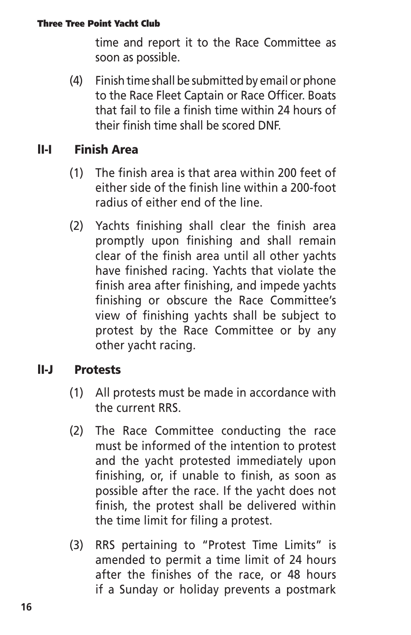time and report it to the Race Committee as soon as possible.

(4) Finish time shall be submitted by email or phone to the Race Fleet Captain or Race Officer. Boats that fail to file a finish time within 24 hours of their finish time shall be scored DNF.

# lI-I Finish Area

- (1) The finish area is that area within 200 feet of either side of the finish line within a 200-foot radius of either end of the line.
- (2) Yachts finishing shall clear the finish area promptly upon finishing and shall remain clear of the finish area until all other yachts have finished racing. Yachts that violate the finish area after finishing, and impede yachts finishing or obscure the Race Committee's view of finishing yachts shall be subject to protest by the Race Committee or by any other yacht racing.

# lI-J Protests

- (1) All protests must be made in accordance with the current RRS.
- (2) The Race Committee conducting the race must be informed of the intention to protest and the yacht protested immediately upon finishing, or, if unable to finish, as soon as possible after the race. If the yacht does not finish, the protest shall be delivered within the time limit for filing a protest.
- (3) RRS pertaining to "Protest Time Limits" is amended to permit a time limit of 24 hours after the finishes of the race, or 48 hours if a Sunday or holiday prevents a postmark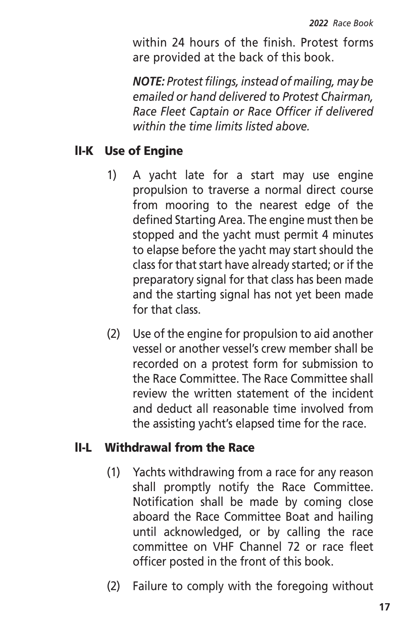within 24 hours of the finish. Protest forms are provided at the back of this book.

*NOTE: Protest filings, instead of mailing, may be emailed or hand delivered to Protest Chairman, Race Fleet Captain or Race Officer if delivered within the time limits listed above.*

## lI-K Use of Engine

- 1) A yacht late for a start may use engine propulsion to traverse a normal direct course from mooring to the nearest edge of the defined Starting Area. The engine must then be stopped and the yacht must permit 4 minutes to elapse before the yacht may start should the class for that start have already started; or if the preparatory signal for that class has been made and the starting signal has not yet been made for that class.
- (2) Use of the engine for propulsion to aid another vessel or another vessel's crew member shall be recorded on a protest form for submission to the Race Committee. The Race Committee shall review the written statement of the incident and deduct all reasonable time involved from the assisting yacht's elapsed time for the race.

## lI-L Withdrawal from the Race

- (1) Yachts withdrawing from a race for any reason shall promptly notify the Race Committee. Notification shall be made by coming close aboard the Race Committee Boat and hailing until acknowledged, or by calling the race committee on VHF Channel 72 or race fleet officer posted in the front of this book.
- (2) Failure to comply with the foregoing without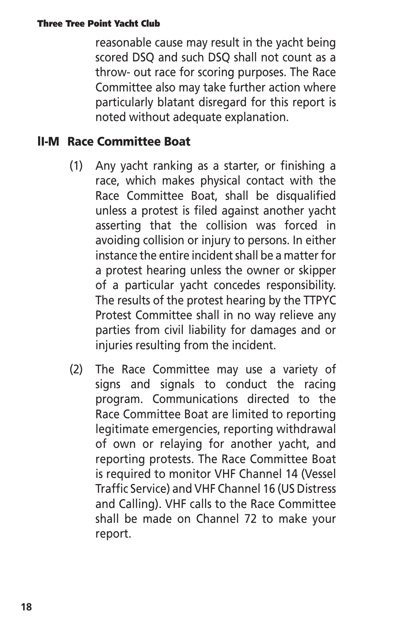#### Three Tree Point Yacht Club

reasonable cause may result in the yacht being scored DSQ and such DSQ shall not count as a throw- out race for scoring purposes. The Race Committee also may take further action where particularly blatant disregard for this report is noted without adequate explanation.

## lI-M Race Committee Boat

- (1) Any yacht ranking as a starter, or finishing a race, which makes physical contact with the Race Committee Boat, shall be disqualified unless a protest is filed against another yacht asserting that the collision was forced in avoiding collision or injury to persons. In either instance the entire incident shall be a matter for a protest hearing unless the owner or skipper of a particular yacht concedes responsibility. The results of the protest hearing by the TTPYC Protest Committee shall in no way relieve any parties from civil liability for damages and or injuries resulting from the incident.
- (2) The Race Committee may use a variety of signs and signals to conduct the racing program. Communications directed to the Race Committee Boat are limited to reporting legitimate emergencies, reporting withdrawal of own or relaying for another yacht, and reporting protests. The Race Committee Boat is required to monitor VHF Channel 14 (Vessel Traffic Service) and VHF Channel 16 (US Distress and Calling). VHF calls to the Race Committee shall be made on Channel 72 to make your report.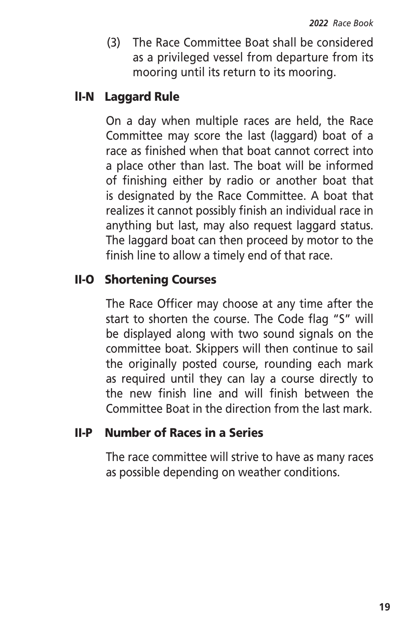(3) The Race Committee Boat shall be considered as a privileged vessel from departure from its mooring until its return to its mooring.

## lI-N Laggard Rule

On a day when multiple races are held, the Race Committee may score the last (laggard) boat of a race as finished when that boat cannot correct into a place other than last. The boat will be informed of finishing either by radio or another boat that is designated by the Race Committee. A boat that realizes it cannot possibly finish an individual race in anything but last, may also request laggard status. The laggard boat can then proceed by motor to the finish line to allow a timely end of that race.

## II-O Shortening Courses

The Race Officer may choose at any time after the start to shorten the course. The Code flag "S" will be displayed along with two sound signals on the committee boat. Skippers will then continue to sail the originally posted course, rounding each mark as required until they can lay a course directly to the new finish line and will finish between the Committee Boat in the direction from the last mark.

## II-P Number of Races in a Series

The race committee will strive to have as many races as possible depending on weather conditions.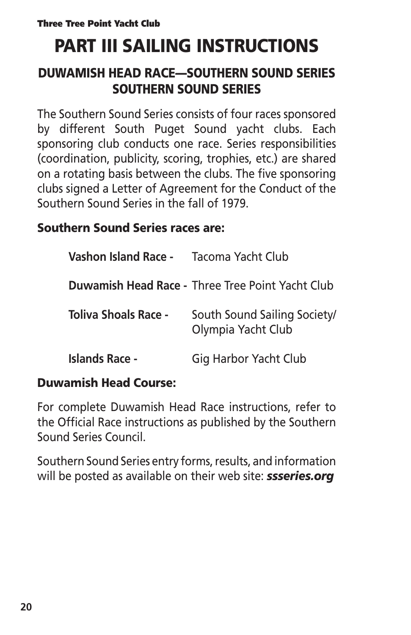# PART III SAILING INSTRUCTIONS

# DUWAMISH HEAD RACE—SOUTHERN SOUND SERIES SOUTHERN SOUND SERIES

The Southern Sound Series consists of four races sponsored by different South Puget Sound yacht clubs. Each sponsoring club conducts one race. Series responsibilities (coordination, publicity, scoring, trophies, etc.) are shared on a rotating basis between the clubs. The five sponsoring clubs signed a Letter of Agreement for the Conduct of the Southern Sound Series in the fall of 1979.

## Southern Sound Series races are:

| Vashon Island Race -        | Tacoma Yacht Club                                       |
|-----------------------------|---------------------------------------------------------|
|                             | <b>Duwamish Head Race - Three Tree Point Yacht Club</b> |
| <b>Toliva Shoals Race -</b> | South Sound Sailing Society/<br>Olympia Yacht Club      |
| <b>Islands Race -</b>       | Gig Harbor Yacht Club                                   |

## Duwamish Head Course:

For complete Duwamish Head Race instructions, refer to the Official Race instructions as published by the Southern Sound Series Council.

Southern Sound Series entry forms, results, and information will be posted as available on their web site: *ssseries.org*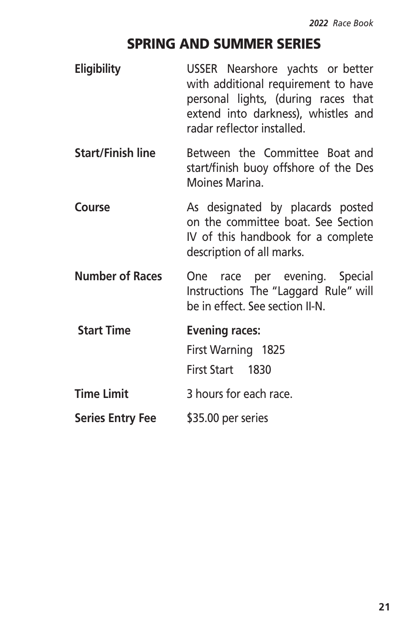# SPRING AND SUMMER SERIES

| <b>Eligibility</b>       | USSER Nearshore yachts or better<br>with additional requirement to have<br>personal lights, (during races that<br>extend into darkness), whistles and<br>radar reflector installed. |
|--------------------------|-------------------------------------------------------------------------------------------------------------------------------------------------------------------------------------|
| <b>Start/Finish line</b> | Between the Committee Boat and<br>start/finish buoy offshore of the Des<br>Moines Marina.                                                                                           |
| Course                   | As designated by placards posted<br>on the committee boat. See Section<br>IV of this handbook for a complete<br>description of all marks.                                           |
| <b>Number of Races</b>   | race per evening. Special<br>One<br>Instructions The "Laggard Rule" will<br>be in effect. See section II-N.                                                                         |
| <b>Start Time</b>        | <b>Evening races:</b><br>First Warning 1825<br>First Start 1830                                                                                                                     |
| <b>Time Limit</b>        | 3 hours for each race.                                                                                                                                                              |
| <b>Series Entry Fee</b>  | \$35.00 per series                                                                                                                                                                  |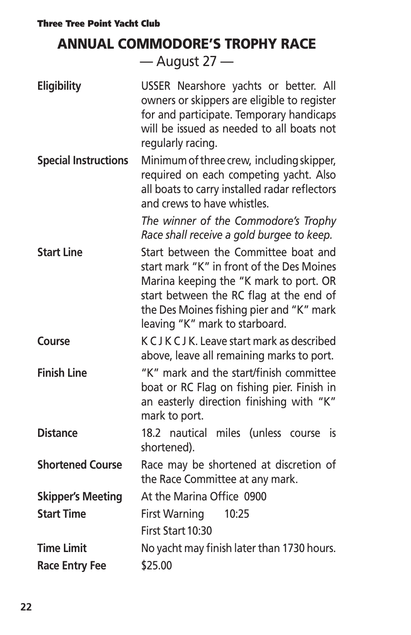# ANNUAL COMMODORE'S TROPHY RACE — August 27 —

| Eligibility                 | USSER Nearshore yachts or better. All<br>owners or skippers are eligible to register<br>for and participate. Temporary handicaps<br>will be issued as needed to all boats not<br>regularly racing.                                                   |
|-----------------------------|------------------------------------------------------------------------------------------------------------------------------------------------------------------------------------------------------------------------------------------------------|
| <b>Special Instructions</b> | Minimum of three crew, including skipper,<br>required on each competing yacht. Also<br>all boats to carry installed radar reflectors<br>and crews to have whistles.                                                                                  |
|                             | The winner of the Commodore's Trophy<br>Race shall receive a gold burgee to keep.                                                                                                                                                                    |
| <b>Start Line</b>           | Start between the Committee boat and<br>start mark "K" in front of the Des Moines<br>Marina keeping the "K mark to port. OR<br>start between the RC flag at the end of<br>the Des Moines fishing pier and "K" mark<br>leaving "K" mark to starboard. |
| Course                      | K C J K C J K, Leave start mark as described<br>above, leave all remaining marks to port.                                                                                                                                                            |
| <b>Finish Line</b>          | "K" mark and the start/finish committee<br>boat or RC Flag on fishing pier. Finish in<br>an easterly direction finishing with "K"<br>mark to port.                                                                                                   |
| <b>Distance</b>             | 18.2 nautical miles (unless course<br>is.<br>shortened).                                                                                                                                                                                             |
| <b>Shortened Course</b>     | Race may be shortened at discretion of<br>the Race Committee at any mark.                                                                                                                                                                            |
| <b>Skipper's Meeting</b>    | At the Marina Office 0900                                                                                                                                                                                                                            |
| <b>Start Time</b>           | First Warning<br>10:25<br>First Start 10:30                                                                                                                                                                                                          |
| <b>Time Limit</b>           | No yacht may finish later than 1730 hours.                                                                                                                                                                                                           |
| <b>Race Entry Fee</b>       | \$25.00                                                                                                                                                                                                                                              |
|                             |                                                                                                                                                                                                                                                      |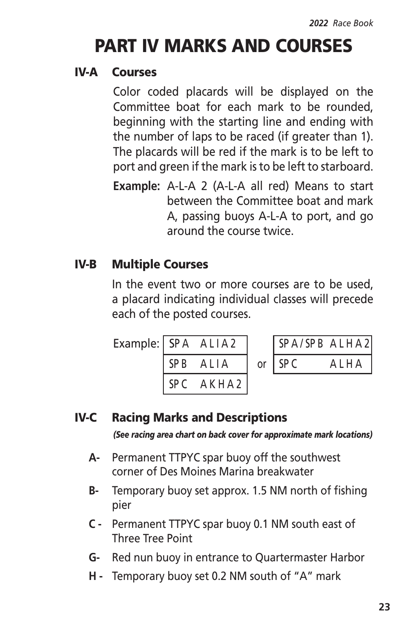# PART IV MARKS AND COURSES

## IV-A Courses

Color coded placards will be displayed on the Committee boat for each mark to be rounded, beginning with the starting line and ending with the number of laps to be raced (if greater than 1). The placards will be red if the mark is to be left to port and green if the mark is to be left to starboard.

**Example:** A-L-A 2 (A-L-A all red) Means to start between the Committee boat and mark A, passing buoys A-L-A to port, and go around the course twice.

## IV-B Multiple Courses

In the event two or more courses are to be used, a placard indicating individual classes will precede each of the posted courses.

|  | Example: SPA ALIA2 | SPA/SPB ALHA2 |      |
|--|--------------------|---------------|------|
|  | SPB ALIA           | or $ $ SP C   | ALHA |
|  | SPC AKHA2          |               |      |

|      | SPA ALIA2  | SPA/SPB ALHA2 |         |
|------|------------|---------------|---------|
| SP B | $A \cup A$ | or $ $ SP C   | A I H A |

## IV-C Racing Marks and Descriptions

*(See racing area chart on back cover for approximate mark locations)*

- **A-** Permanent TTPYC spar buoy off the southwest corner of Des Moines Marina breakwater
- **B-** Temporary buoy set approx. 1.5 NM north of fishing pier
- **C -** Permanent TTPYC spar buoy 0.1 NM south east of Three Tree Point
- **G-** Red nun buoy in entrance to Quartermaster Harbor
- **H -** Temporary buoy set 0.2 NM south of "A" mark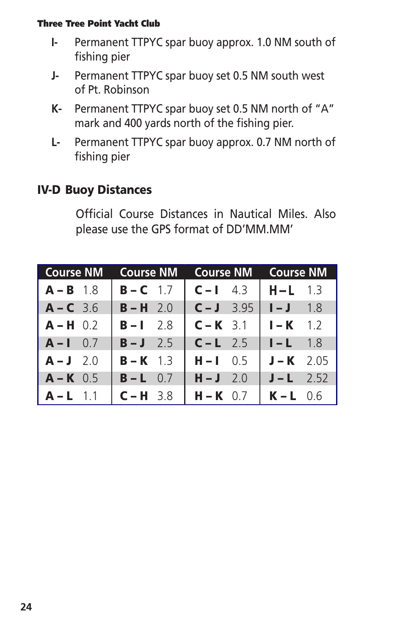#### Three Tree Point Yacht Club

- **I-** Permanent TTPYC spar buoy approx. 1.0 NM south of fishing pier
- **J-** Permanent TTPYC spar buoy set 0.5 NM south west of Pt. Robinson
- **K-** Permanent TTPYC spar buoy set 0.5 NM north of "A" mark and 400 yards north of the fishing pier.
- **L-** Permanent TTPYC spar buoy approx. 0.7 NM north of fishing pier

## IV-D Buoy Distances

Official Course Distances in Nautical Miles. Also please use the GPS format of DD'MM.MM'

| <b>Course NM</b>        |             | Course NM Course NM        | <b>Course NM</b> |
|-------------------------|-------------|----------------------------|------------------|
| $A - B$ 1.8             | $B - C$ 1.7 | $C-I$ 4.3                  | $H - L$ 1.3      |
| $A - C$ 3.6             | $B - H$ 2.0 | $ C - J$ 3.95 $ I - J$ 1.8 |                  |
| $A - H$ 0.2             | $B - 1$ 2.8 | $C - K$ 3.1                | $1 - K$ 1.2      |
| $A-I$ 07                | $B - J$ 2.5 | $C - L$ 2.5                | $I - L$ 1.8      |
| $A - J$ 2.0             | $B - K$ 1.3 | $H - 1$ 0.5                | $J - K$ 2.05     |
| $A - K$ 0.5             | $B - L$ 0.7 | $H - J$ 2.0                | $J - L$ 2.52     |
| $\mathbf{\Delta}$ - 1 1 | $C - H$ 3.8 | $H - K$ 07                 | $K-L$ 06         |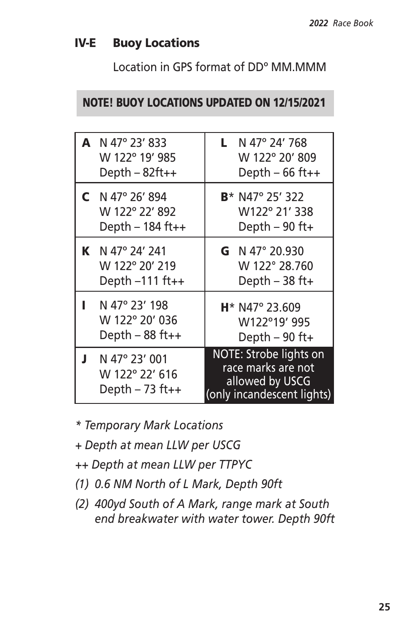### IV-E Buoy Locations

Location in GPS format of DDº MM.MMM

## NOTE! BUOY LOCATIONS UPDATED ON 12/15/2021

|   | A N 47° 23' 833<br>W 122° 19' 985<br>Depth $-$ 82ft++         | L N 47° 24' 768<br>W 122° 20' 809<br>Depth $-66$ ft++                                         |
|---|---------------------------------------------------------------|-----------------------------------------------------------------------------------------------|
|   | $CN 47^{\circ} 26' 894$<br>W 122° 22' 892<br>Depth - 184 ft++ | $B*$ N47° 25' 322<br>W122° 21' 338<br>Depth $-90$ ft+                                         |
|   | <b>K</b> $N$ 47° 24′ 241<br>W 122° 20' 219<br>Depth -111 ft++ | G N 47° 20.930<br>W 122° 28.760<br>Depth $-38$ ft+                                            |
| ı | N 47° 23' 198<br>W 122° 20' 036<br>Depth $-88$ ft++           | $H^*$ N47° 23.609<br>W122°19' 995<br>Depth $-90$ ft+                                          |
|   | N 47° 23' 001<br>W 122° 22' 616<br>Depth $-73$ ft++           | NOTE: Strobe lights on<br>race marks are not<br>allowed by USCG<br>(only incandescent lights) |

- *\* Temporary Mark Locations*
- *+ Depth at mean LLW per USCG*
- *++ Depth at mean LLW per TTPYC*
- *(1) 0.6 NM North of L Mark, Depth 90ft*
- *(2) 400yd South of A Mark, range mark at South end breakwater with water tower. Depth 90ft*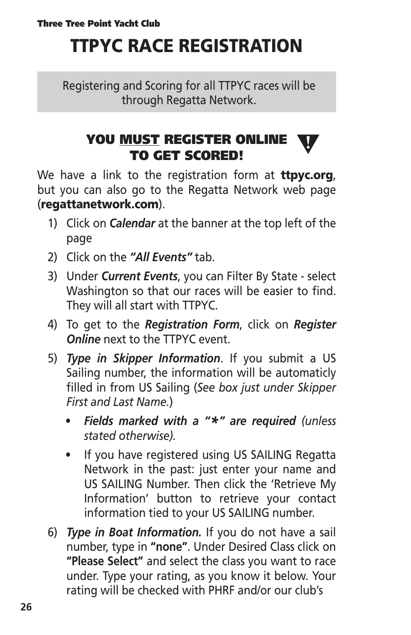# TTPYC RACE REGISTRATION

Registering and Scoring for all TTPYC races will be through Regatta Network.

# YOU MUST REGISTER ONLINE TO GET SCORED!

We have a link to the registration form at ttpyc.org, but you can also go to the Regatta Network web page (regattanetwork.com).

- 1) Click on *Calendar* at the banner at the top left of the page
- 2) Click on the *"All Events"* tab.
- 3) Under *Current Events*, you can Filter By State select Washington so that our races will be easier to find. They will all start with TTPYC.
- 4) To get to the *Registration Form*, click on *Register Online* next to the TTPYC event.
- 5) *Type in Skipper Information*. If you submit a US Sailing number, the information will be automaticly filled in from US Sailing (*See box just under Skipper First and Last Name.*)
	- *Fields marked with a "\*" are required (unless stated otherwise).*
	- If you have registered using US SAILING Regatta Network in the past: just enter your name and US SAILING Number. Then click the 'Retrieve My Information' button to retrieve your contact information tied to your US SAILING number.
- 6) *Type in Boat Information.* If you do not have a sail number, type in **"none"**. Under Desired Class click on **"Please Select"** and select the class you want to race under. Type your rating, as you know it below. Your rating will be checked with PHRF and/or our club's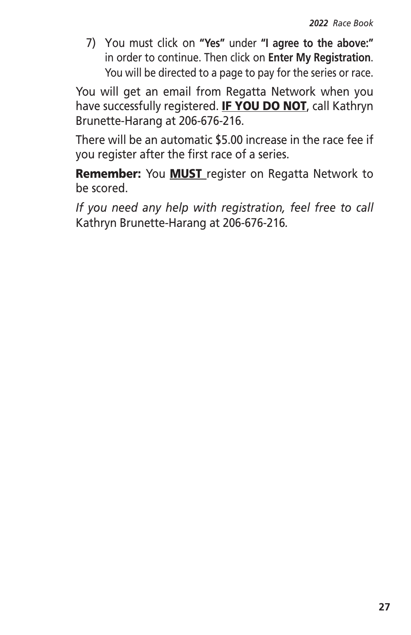7) You must click on **"Yes"** under **"I agree to the above:"** in order to continue. Then click on **Enter My Registration**. You will be directed to a page to pay for the series or race.

You will get an email from Regatta Network when you have successfully registered. **IF YOU DO NOT**, call Kathryn Brunette-Harang at 206-676-216.

There will be an automatic \$5.00 increase in the race fee if you register after the first race of a series.

Remember: You **MUST** register on Regatta Network to be scored.

*If you need any help with registration, feel free to call*  Kathryn Brunette-Harang at 206-676-216*.*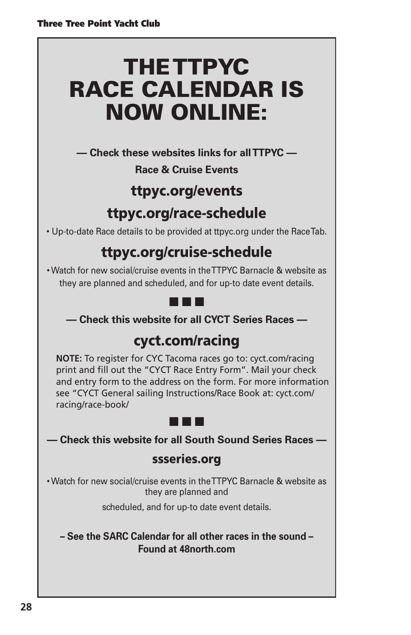# THE TTPYC RACE CALENDAR IS NOW ONLINE:

**— Check these websites links for all TTPYC —**

**Race & Cruise Events**

# ttpyc.org/events

# ttpyc.org/race-schedule

• Up-to-date Race details to be provided at ttpyc.org under the Race Tab.

# ttpyc.org/cruise-schedule

• Watch for new social/cruise events in the TTPYC Barnacle & website as they are planned and scheduled, and for up-to date event details.

### n n n

**— Check this website for all CYCT Series Races —**

# cyct.com/racing

**NOTE:** To register for CYC Tacoma races go to: cyct.com/racing print and fill out the "CYCT Race Entry Form". Mail your check and entry form to the address on the form. For more information see "CYCT General sailing Instructions/Race Book at: cyct.com/ racing/race-book/

### n n n

**— Check this website for all South Sound Series Races —**

## ssseries.org

• Watch for new social/cruise events in the TTPYC Barnacle & website as they are planned and

scheduled, and for up-to date event details.

#### **– See the SARC Calendar for all other races in the sound – Found at 48north.com**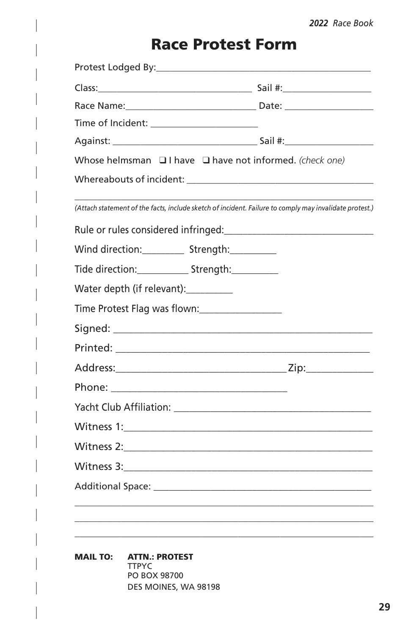# Race Protest Form

| Time of Incident: ________________________              |                                                                                                                                                                                                                                |
|---------------------------------------------------------|--------------------------------------------------------------------------------------------------------------------------------------------------------------------------------------------------------------------------------|
|                                                         |                                                                                                                                                                                                                                |
|                                                         | Whose helmsman $\Box$ I have $\Box$ have not informed. (check one)                                                                                                                                                             |
|                                                         |                                                                                                                                                                                                                                |
|                                                         | (Attach statement of the facts, include sketch of incident. Failure to comply may invalidate protest.)                                                                                                                         |
|                                                         |                                                                                                                                                                                                                                |
| Wind direction: ____________ Strength: ___________      |                                                                                                                                                                                                                                |
| Tide direction: ________________ Strength: ____________ |                                                                                                                                                                                                                                |
| Water depth (if relevant): __________                   |                                                                                                                                                                                                                                |
| Time Protest Flag was flown:____________________        |                                                                                                                                                                                                                                |
|                                                         |                                                                                                                                                                                                                                |
|                                                         |                                                                                                                                                                                                                                |
|                                                         |                                                                                                                                                                                                                                |
|                                                         |                                                                                                                                                                                                                                |
|                                                         |                                                                                                                                                                                                                                |
|                                                         | Witness 1: North Communication of the Communication of the Communication of the Communication of the Communication of the Communication of the Communication of the Communication of the Communication of the Communication of |
|                                                         |                                                                                                                                                                                                                                |
|                                                         |                                                                                                                                                                                                                                |
|                                                         |                                                                                                                                                                                                                                |
|                                                         |                                                                                                                                                                                                                                |
|                                                         |                                                                                                                                                                                                                                |
|                                                         |                                                                                                                                                                                                                                |

MAIL TO: ATTN.: PROTEST TTPYC PO BOX 98700 DES MOINES, WA 98198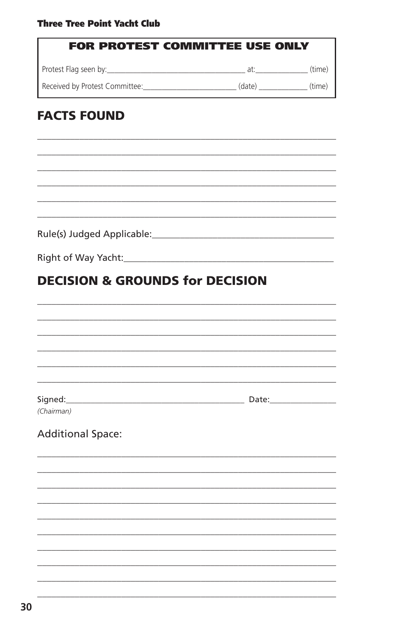| FOR PROTEST COMMITTEE USE ONLY                                                         |  |
|----------------------------------------------------------------------------------------|--|
|                                                                                        |  |
| Received by Protest Committee:______________________________(date) _____________(time) |  |
| <b>FACTS FOUND</b>                                                                     |  |
|                                                                                        |  |
|                                                                                        |  |
|                                                                                        |  |
|                                                                                        |  |
|                                                                                        |  |
| <b>DECISION &amp; GROUNDS for DECISION</b>                                             |  |
|                                                                                        |  |
|                                                                                        |  |
|                                                                                        |  |
|                                                                                        |  |
|                                                                                        |  |
|                                                                                        |  |
|                                                                                        |  |
|                                                                                        |  |
| (Chairman)                                                                             |  |
| <b>Additional Space:</b>                                                               |  |
|                                                                                        |  |
|                                                                                        |  |
|                                                                                        |  |
|                                                                                        |  |
|                                                                                        |  |
|                                                                                        |  |
|                                                                                        |  |
|                                                                                        |  |
|                                                                                        |  |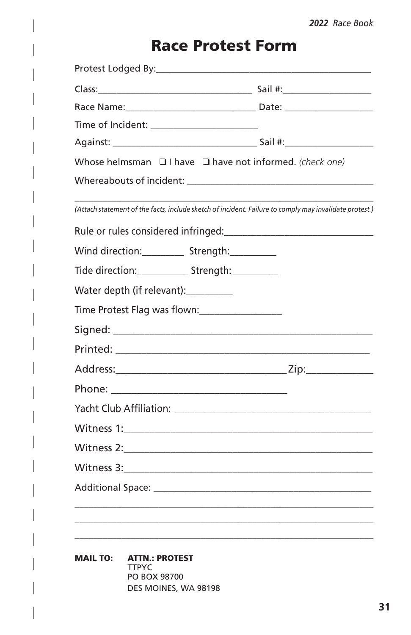# Race Protest Form

| Time of Incident: ________________________              |                                                                                                        |
|---------------------------------------------------------|--------------------------------------------------------------------------------------------------------|
|                                                         |                                                                                                        |
|                                                         | Whose helmsman $\Box$ I have $\Box$ have not informed. (check one)                                     |
|                                                         |                                                                                                        |
|                                                         | (Attach statement of the facts, include sketch of incident. Failure to comply may invalidate protest.) |
|                                                         |                                                                                                        |
| Wind direction: Strength: Wind direction:               |                                                                                                        |
| Tide direction: ________________ Strength: ____________ |                                                                                                        |
| Water depth (if relevant): _________                    |                                                                                                        |
| Time Protest Flag was flown:___________________         |                                                                                                        |
|                                                         |                                                                                                        |
|                                                         |                                                                                                        |
|                                                         |                                                                                                        |
|                                                         |                                                                                                        |
|                                                         |                                                                                                        |
|                                                         |                                                                                                        |
|                                                         | Witness 2: North Commission Commission Commission Commission                                           |
|                                                         |                                                                                                        |
|                                                         |                                                                                                        |
|                                                         | the contract of the contract of the contract of the contract of the contract of the contract of        |
|                                                         |                                                                                                        |
|                                                         |                                                                                                        |

MAIL TO: ATTN.: PROTEST TTPYC PO BOX 98700 DES MOINES, WA 98198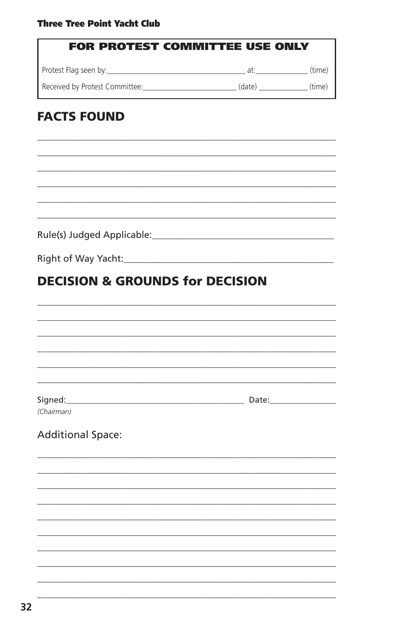| <b>FOR PROTEST COMMITTEE USE ONLY</b>                                                     |  |  |
|-------------------------------------------------------------------------------------------|--|--|
|                                                                                           |  |  |
| Received by Protest Committee:_______________________________(date) ______________ (time) |  |  |
| <b>FACTS FOUND</b>                                                                        |  |  |
|                                                                                           |  |  |
|                                                                                           |  |  |
|                                                                                           |  |  |
| <b>DECISION &amp; GROUNDS for DECISION</b>                                                |  |  |
|                                                                                           |  |  |
|                                                                                           |  |  |
|                                                                                           |  |  |
|                                                                                           |  |  |
|                                                                                           |  |  |
| (Chairman)                                                                                |  |  |
| <b>Additional Space:</b>                                                                  |  |  |
|                                                                                           |  |  |
|                                                                                           |  |  |
|                                                                                           |  |  |
|                                                                                           |  |  |
|                                                                                           |  |  |
|                                                                                           |  |  |
|                                                                                           |  |  |
|                                                                                           |  |  |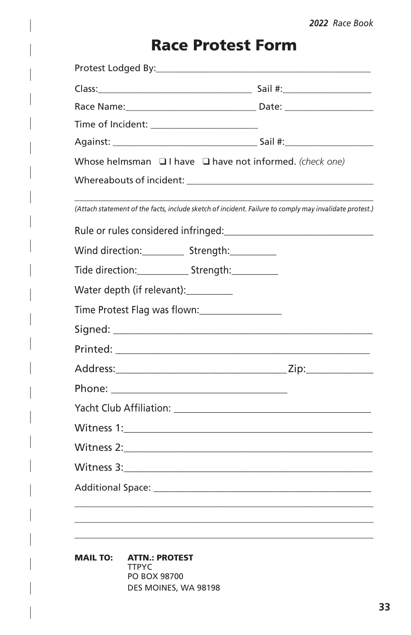# Race Protest Form

| Time of Incident: ________________________               |                                                                                                        |
|----------------------------------------------------------|--------------------------------------------------------------------------------------------------------|
|                                                          |                                                                                                        |
|                                                          | Whose helmsman $\Box$ I have $\Box$ have not informed. (check one)                                     |
|                                                          |                                                                                                        |
|                                                          | (Attach statement of the facts, include sketch of incident. Failure to comply may invalidate protest.) |
|                                                          |                                                                                                        |
| Wind direction: _____________ Strength: ___________      |                                                                                                        |
| Tide direction: _________________ Strength: ____________ |                                                                                                        |
| Water depth (if relevant): _________                     |                                                                                                        |
| Time Protest Flag was flown:                             |                                                                                                        |
|                                                          |                                                                                                        |
|                                                          |                                                                                                        |
|                                                          |                                                                                                        |
|                                                          |                                                                                                        |
|                                                          |                                                                                                        |
|                                                          | Witness 1: North Commission Commission Commission Commission                                           |
|                                                          |                                                                                                        |
|                                                          |                                                                                                        |
|                                                          |                                                                                                        |
|                                                          |                                                                                                        |
|                                                          |                                                                                                        |
|                                                          |                                                                                                        |

MAIL TO: ATTN.: PROTEST TTPYC PO BOX 98700 DES MOINES, WA 98198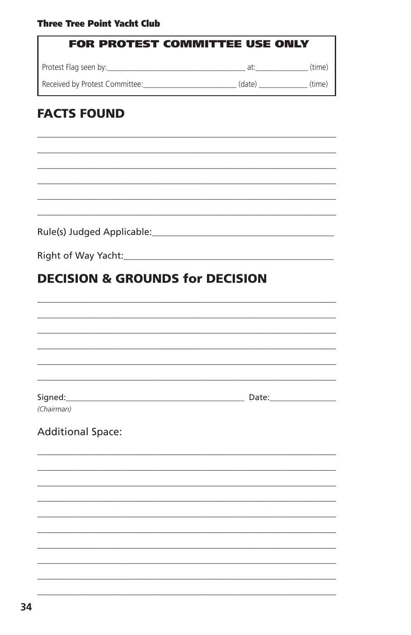| <b>FOR PROTEST COMMITTEE USE ONLY</b>                                                   |  |  |
|-----------------------------------------------------------------------------------------|--|--|
|                                                                                         |  |  |
| Received by Protest Committee:______________________________(date) ______________(time) |  |  |
| <b>FACTS FOUND</b>                                                                      |  |  |
|                                                                                         |  |  |
|                                                                                         |  |  |
|                                                                                         |  |  |
| <b>DECISION &amp; GROUNDS for DECISION</b>                                              |  |  |
|                                                                                         |  |  |
|                                                                                         |  |  |
|                                                                                         |  |  |
|                                                                                         |  |  |
|                                                                                         |  |  |
|                                                                                         |  |  |
| (Chairman)                                                                              |  |  |
|                                                                                         |  |  |
| <b>Additional Space:</b>                                                                |  |  |
|                                                                                         |  |  |
|                                                                                         |  |  |
|                                                                                         |  |  |
|                                                                                         |  |  |
|                                                                                         |  |  |
|                                                                                         |  |  |
|                                                                                         |  |  |
|                                                                                         |  |  |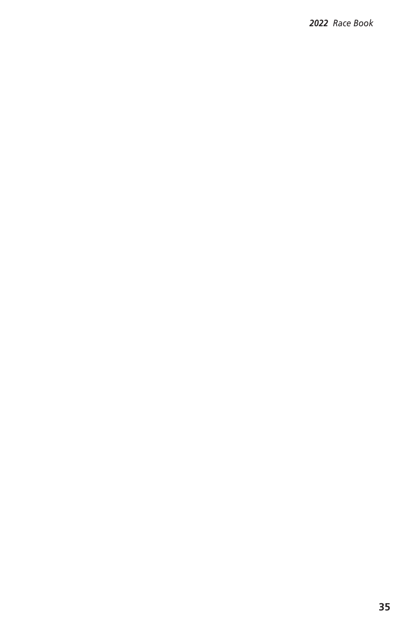*Race Book*